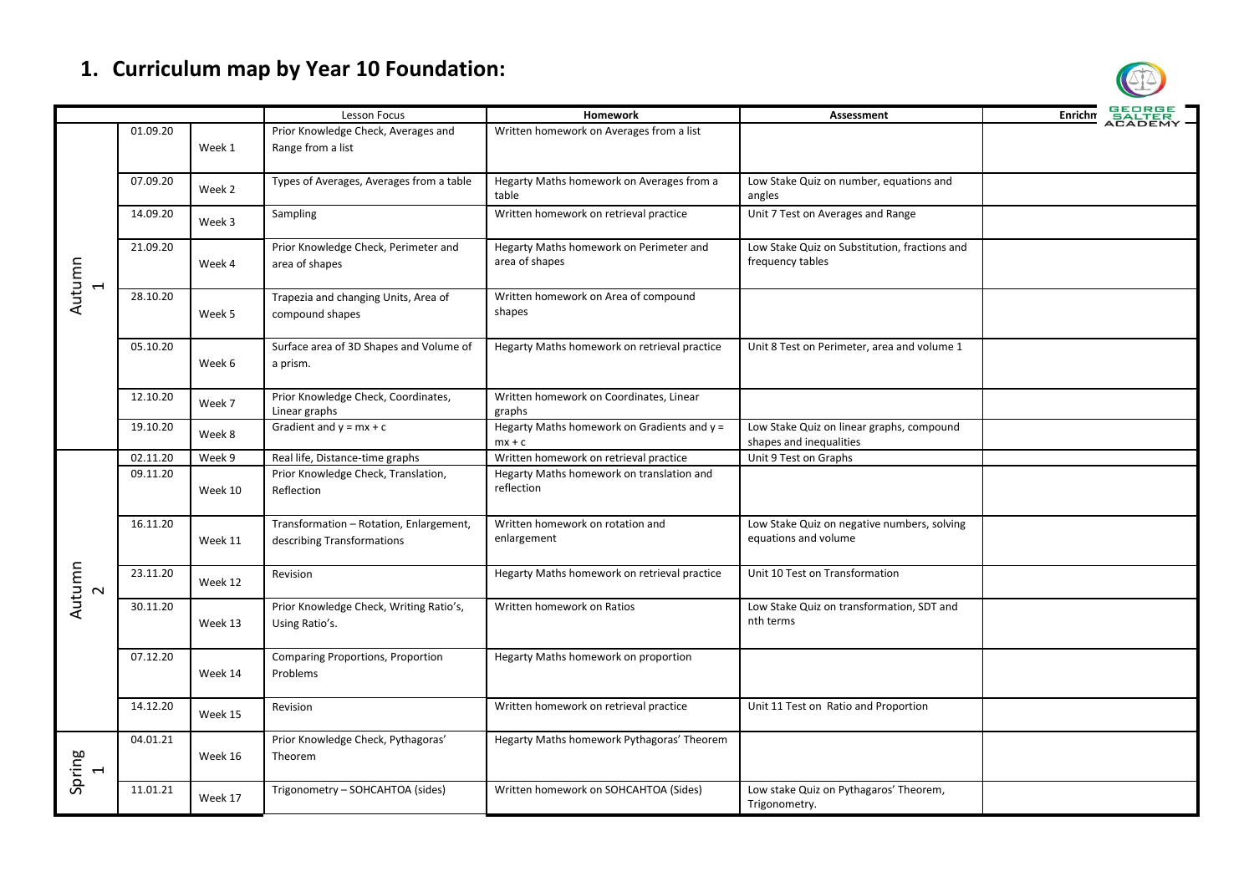## **1. Curriculum map by Year 10 Foundation:**

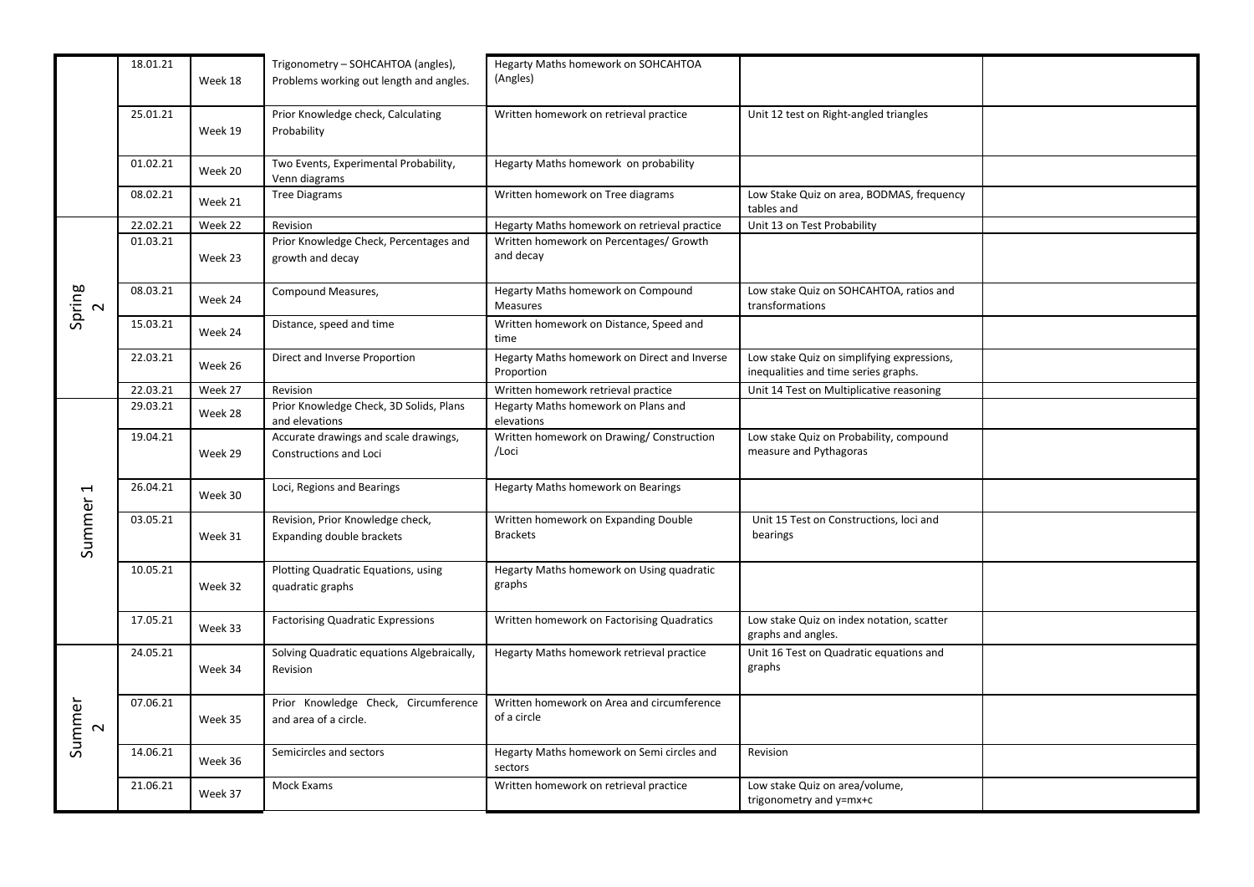|                                    | 18.01.21 | Week 18 | Trigonometry - SOHCAHTOA (angles),<br>Problems working out length and angles. | Hegarty Maths homework on SOHCAHTOA<br>(Angles)            |                                                                                    |  |
|------------------------------------|----------|---------|-------------------------------------------------------------------------------|------------------------------------------------------------|------------------------------------------------------------------------------------|--|
|                                    | 25.01.21 | Week 19 | Prior Knowledge check, Calculating<br>Probability                             | Written homework on retrieval practice                     | Unit 12 test on Right-angled triangles                                             |  |
|                                    | 01.02.21 | Week 20 | Two Events, Experimental Probability,<br>Venn diagrams                        | Hegarty Maths homework on probability                      |                                                                                    |  |
|                                    | 08.02.21 | Week 21 | <b>Tree Diagrams</b>                                                          | Written homework on Tree diagrams                          | Low Stake Quiz on area, BODMAS, frequency<br>tables and                            |  |
|                                    | 22.02.21 | Week 22 | Revision                                                                      | Hegarty Maths homework on retrieval practice               | Unit 13 on Test Probability                                                        |  |
| Spring<br>2                        | 01.03.21 | Week 23 | Prior Knowledge Check, Percentages and<br>growth and decay                    | Written homework on Percentages/ Growth<br>and decay       |                                                                                    |  |
|                                    | 08.03.21 | Week 24 | Compound Measures,                                                            | Hegarty Maths homework on Compound<br>Measures             | Low stake Quiz on SOHCAHTOA, ratios and<br>transformations                         |  |
|                                    | 15.03.21 | Week 24 | Distance, speed and time                                                      | Written homework on Distance, Speed and<br>time            |                                                                                    |  |
|                                    | 22.03.21 | Week 26 | Direct and Inverse Proportion                                                 | Hegarty Maths homework on Direct and Inverse<br>Proportion | Low stake Quiz on simplifying expressions,<br>inequalities and time series graphs. |  |
|                                    | 22.03.21 | Week 27 | Revision                                                                      | Written homework retrieval practice                        | Unit 14 Test on Multiplicative reasoning                                           |  |
|                                    | 29.03.21 | Week 28 | Prior Knowledge Check, 3D Solids, Plans<br>and elevations                     | Hegarty Maths homework on Plans and<br>elevations          |                                                                                    |  |
| $\overline{\phantom{0}}$<br>Summer | 19.04.21 | Week 29 | Accurate drawings and scale drawings,<br>Constructions and Loci               | Written homework on Drawing/Construction<br>/Loci          | Low stake Quiz on Probability, compound<br>measure and Pythagoras                  |  |
|                                    | 26.04.21 | Week 30 | Loci, Regions and Bearings                                                    | Hegarty Maths homework on Bearings                         |                                                                                    |  |
|                                    | 03.05.21 | Week 31 | Revision, Prior Knowledge check,<br>Expanding double brackets                 | Written homework on Expanding Double<br><b>Brackets</b>    | Unit 15 Test on Constructions, loci and<br>bearings                                |  |
|                                    | 10.05.21 | Week 32 | Plotting Quadratic Equations, using<br>quadratic graphs                       | Hegarty Maths homework on Using quadratic<br>graphs        |                                                                                    |  |
|                                    | 17.05.21 | Week 33 | <b>Factorising Quadratic Expressions</b>                                      | Written homework on Factorising Quadratics                 | Low stake Quiz on index notation, scatter<br>graphs and angles.                    |  |
| Summer<br>$\sim$                   | 24.05.21 | Week 34 | Solving Quadratic equations Algebraically,<br>Revision                        | Hegarty Maths homework retrieval practice                  | Unit 16 Test on Quadratic equations and<br>graphs                                  |  |
|                                    | 07.06.21 | Week 35 | Prior Knowledge Check, Circumference<br>and area of a circle.                 | Written homework on Area and circumference<br>of a circle  |                                                                                    |  |
|                                    | 14.06.21 | Week 36 | Semicircles and sectors                                                       | Hegarty Maths homework on Semi circles and<br>sectors      | Revision                                                                           |  |
|                                    | 21.06.21 | Week 37 | Mock Exams                                                                    | Written homework on retrieval practice                     | Low stake Quiz on area/volume,<br>trigonometry and y=mx+c                          |  |